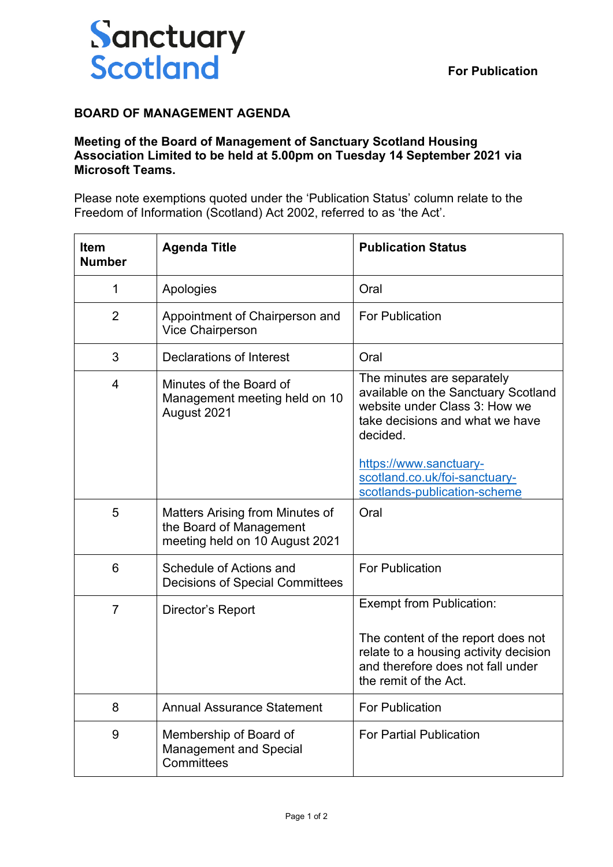

## **BOARD OF MANAGEMENT AGENDA**

## **Meeting of the Board of Management of Sanctuary Scotland Housing Association Limited to be held at 5.00pm on Tuesday 14 September 2021 via Microsoft Teams.**

Please note exemptions quoted under the 'Publication Status' column relate to the Freedom of Information (Scotland) Act 2002, referred to as 'the Act'.

| <b>Item</b><br><b>Number</b> | <b>Agenda Title</b>                                                                          | <b>Publication Status</b>                                                                                                                         |
|------------------------------|----------------------------------------------------------------------------------------------|---------------------------------------------------------------------------------------------------------------------------------------------------|
| 1                            | Apologies                                                                                    | Oral                                                                                                                                              |
| $\overline{2}$               | Appointment of Chairperson and<br>Vice Chairperson                                           | <b>For Publication</b>                                                                                                                            |
| 3                            | Declarations of Interest                                                                     | Oral                                                                                                                                              |
| 4                            | Minutes of the Board of<br>Management meeting held on 10<br>August 2021                      | The minutes are separately<br>available on the Sanctuary Scotland<br>website under Class 3: How we<br>take decisions and what we have<br>decided. |
|                              |                                                                                              | https://www.sanctuary-<br>scotland.co.uk/foi-sanctuary-<br>scotlands-publication-scheme                                                           |
| 5                            | Matters Arising from Minutes of<br>the Board of Management<br>meeting held on 10 August 2021 | Oral                                                                                                                                              |
| 6                            | Schedule of Actions and<br><b>Decisions of Special Committees</b>                            | <b>For Publication</b>                                                                                                                            |
| $\overline{7}$               | Director's Report                                                                            | <b>Exempt from Publication:</b>                                                                                                                   |
|                              |                                                                                              | The content of the report does not<br>relate to a housing activity decision<br>and therefore does not fall under<br>the remit of the Act.         |
| 8                            | <b>Annual Assurance Statement</b>                                                            | For Publication                                                                                                                                   |
| 9                            | Membership of Board of<br><b>Management and Special</b><br>Committees                        | <b>For Partial Publication</b>                                                                                                                    |